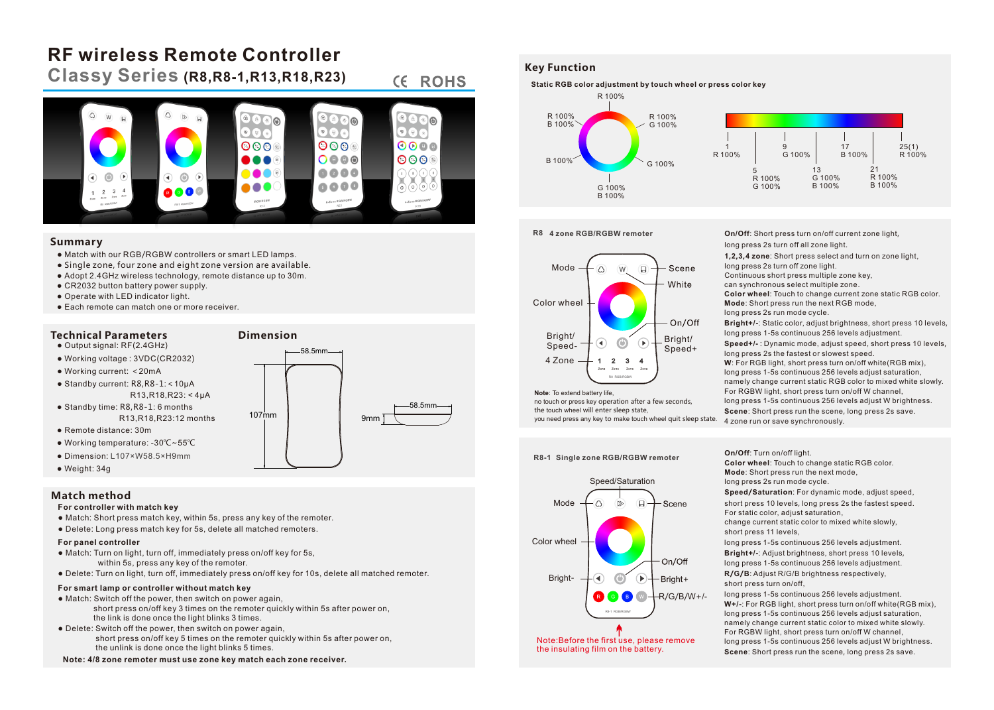# **RF wireless Remote Controller**

**Classy Series (R8,R8-1,R13,R18,R23)**

#### **CE ROHS** ക  $\bullet$   $\bullet$  $000$  $0000$  $000$  $\bigcap \bigoplus \bigoplus \bigoplus$  $000$ 0000 888 0000

9mm

58.5mm

### **Summary**

- Match with our RGB/RGBW controllers or smart LED lamps.
- Single zone, four zone and eight zone version are available.
- Adopt 2.4GHz wireless technology, remote distance up to 30m.
- CR2032 button battery power supply.
- Operate with LED indicator light.
- Each remote can match one or more receiver.

#### **Technical Parameters Dimension**  $\bullet$  Output signal: RF(2.4GHz)

- Working voltage : 3VDC(CR2032)
- Working current: <20mA
- Standby current: R8,R8-1:<10μA R13,R18,R23: < 4μA
- Standby time: R8,R8-1: 6 months R13,R18,R23:12 months
- Remote distance: 30m
- Working temperature: -30℃~55℃
- Dimension: L107×W58.5×H9mm
- Weight: 34g

# **Match method**

#### **For controller with match key**

- Match: Short press match key, within 5s, press any key of the remoter.
- Delete: Long press match key for 5s, delete all matched remoters.

# **For panel controller**

- Match: Turn on light, turn off, immediately press on/off key for 5s, within 5s, press any key of the remoter.
- Delete: Turn on light, turn off, immediately press on/off key for 10s, delete all matched remoter.

107mm

### **For smart lamp or controller without match key**

- Match: Switch off the power, then switch on power again, short press on/off key 3 times on the remoter quickly within 5s after power on, the link is done once the light blinks 3 times.
- Delete: Switch off the power, then switch on power again, short press on/off key 5 times on the remoter quickly within 5s after power on, the unlink is done once the light blinks 5 times.
- **Note: 4/8 zone remoter must use zone key match each zone receiver.**

# **Key Function**



### **R8 4 zone RGB/RGBW remoter**



**Note**: To extend battery life,

no touch or press key operation after a few seconds, the touch wheel will enter sleep state, you need press any key to make touch wheel quit sleep state.

**R8-1 Single zone RGB/RGBW remoter**



Note:Before the first use, please remove the insulating film on the battery.

#### **On/Off**: Short press turn on/off current zone light,

long press 2s turn off all zone light.

**1,2,3,4 zone**: Short press select and turn on zone light,

long press 2s turn off zone light. Continuous short press multiple zone key, can synchronous select multiple zone. **Color wheel**: Touch to change current zone static RGB color.

**Mode**: Short press run the next RGB mode, long press 2s run mode cycle.

**Bright+/-**: Static color, adjust brightness, short press 10 levels,

long press 1-5s continuous 256 levels adjustment.

**Speed+/-** : Dynamic mode, adjust speed, short press 10 levels, long press 2s the fastest or slowest speed.

**W**: For RGB light, short press turn on/off white(RGB mix), long press 1-5s continuous 256 levels adjust saturation, namely change current static RGB color to mixed white slowly. For RGBW light, short press turn on/off W channel,

long press 1-5s continuous 256 levels adjust W brightness.

**Scene**: Short press run the scene, long press 2s save. 4 zone run or save synchronously.

**On/Off**: Turn on/off light.

**Color wheel**: Touch to change static RGB color. **Mode**: Short press run the next mode,

long press 2s run mode cycle. **Speed/Saturation**: For dynamic mode, adjust speed,

short press 10 levels, long press 2s the fastest speed. For static color, adjust saturation,

change current static color to mixed white slowly, short press 11 levels,

long press 1-5s continuous 256 levels adjustment. **Bright+/-**: Adjust brightness, short press 10 levels, long press 1-5s continuous 256 levels adjustment. **R/G/B**: Adjust R/G/B brightness respectively,

short press turn on/off,

long press 1-5s continuous 256 levels adjustment. **W+/-**: For RGB light, short press turn on/off white(RGB mix), long press 1-5s continuous 256 levels adjust saturation, namely change current static color to mixed white slowly. For RGBW light, short press turn on/off W channel, long press 1-5s continuous 256 levels adjust W brightness. **Scene**: Short press run the scene, long press 2s save.